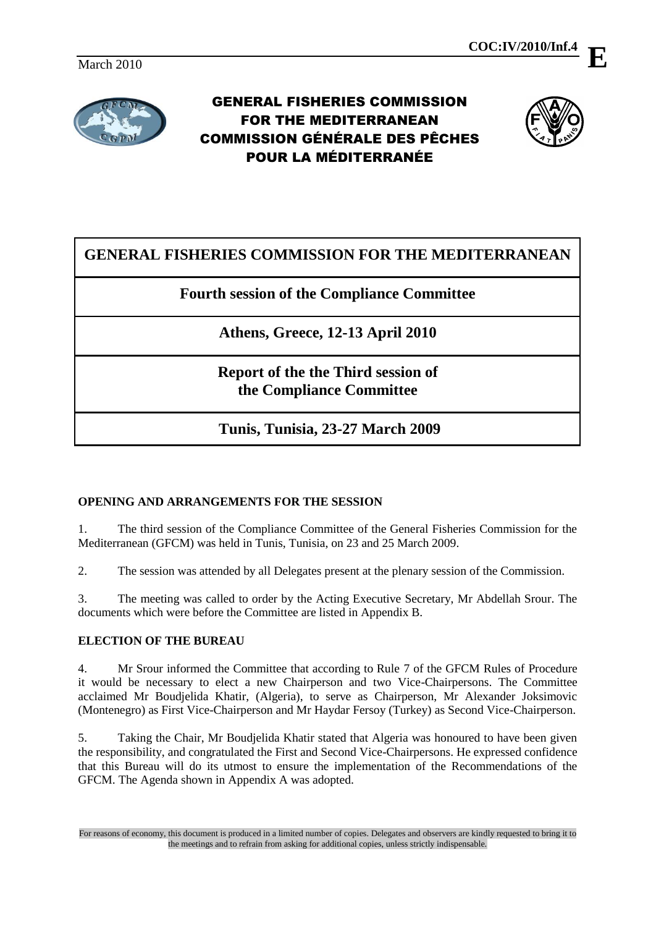

GENERAL FISHERIES COMMISSION FOR THE MEDITERRANEAN COMMISSION GÉNÉRALE DES PÊCHES POUR LA MÉDITERRANÉE



# **GENERAL FISHERIES COMMISSION FOR THE MEDITERRANEAN**

**Fourth session of the Compliance Committee**

**Athens, Greece, 12-13 April 2010**

**Report of the the Third session of the Compliance Committee**

**Tunis, Tunisia, 23-27 March 2009**

# **OPENING AND ARRANGEMENTS FOR THE SESSION**

1. The third session of the Compliance Committee of the General Fisheries Commission for the Mediterranean (GFCM) was held in Tunis, Tunisia, on 23 and 25 March 2009.

2. The session was attended by all Delegates present at the plenary session of the Commission.

3. The meeting was called to order by the Acting Executive Secretary, Mr Abdellah Srour. The documents which were before the Committee are listed in Appendix B.

### **ELECTION OF THE BUREAU**

4. Mr Srour informed the Committee that according to Rule 7 of the GFCM Rules of Procedure it would be necessary to elect a new Chairperson and two Vice-Chairpersons. The Committee acclaimed Mr Boudjelida Khatir, (Algeria), to serve as Chairperson, Mr Alexander Joksimovic (Montenegro) as First Vice-Chairperson and Mr Haydar Fersoy (Turkey) as Second Vice-Chairperson.

5. Taking the Chair, Mr Boudjelida Khatir stated that Algeria was honoured to have been given the responsibility, and congratulated the First and Second Vice-Chairpersons. He expressed confidence that this Bureau will do its utmost to ensure the implementation of the Recommendations of the GFCM. The Agenda shown in Appendix A was adopted.

For reasons of economy, this document is produced in a limited number of copies. Delegates and observers are kindly requested to bring it to the meetings and to refrain from asking for additional copies, unless strictly indispensable.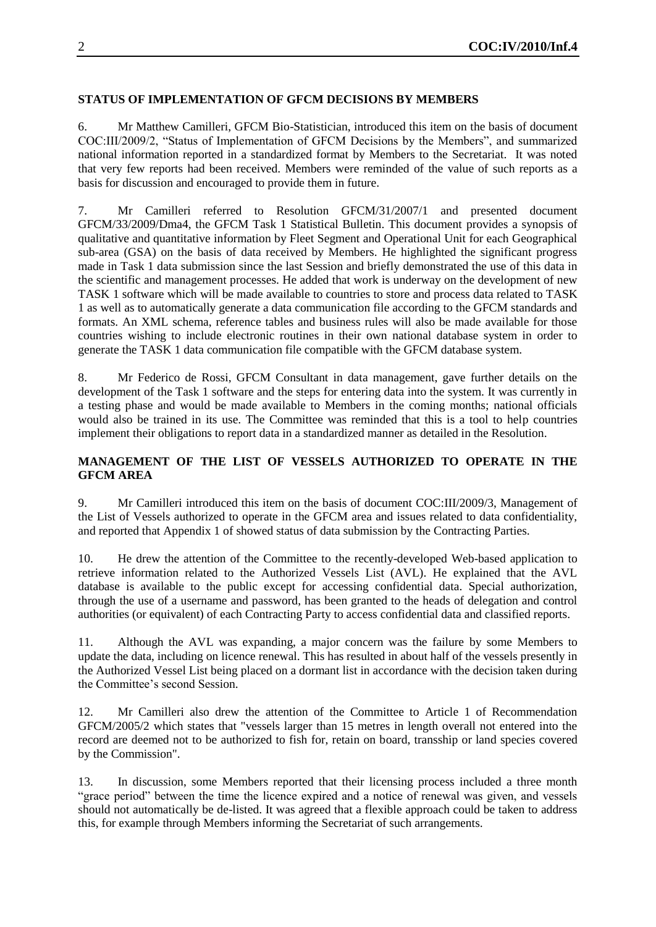### **STATUS OF IMPLEMENTATION OF GFCM DECISIONS BY MEMBERS**

6. Mr Matthew Camilleri, GFCM Bio-Statistician, introduced this item on the basis of document COC:III/2009/2, "Status of Implementation of GFCM Decisions by the Members", and summarized national information reported in a standardized format by Members to the Secretariat. It was noted that very few reports had been received. Members were reminded of the value of such reports as a basis for discussion and encouraged to provide them in future.

7. Mr Camilleri referred to Resolution GFCM/31/2007/1 and presented document GFCM/33/2009/Dma4, the GFCM Task 1 Statistical Bulletin. This document provides a synopsis of qualitative and quantitative information by Fleet Segment and Operational Unit for each Geographical sub-area (GSA) on the basis of data received by Members. He highlighted the significant progress made in Task 1 data submission since the last Session and briefly demonstrated the use of this data in the scientific and management processes. He added that work is underway on the development of new TASK 1 software which will be made available to countries to store and process data related to TASK 1 as well as to automatically generate a data communication file according to the GFCM standards and formats. An XML schema, reference tables and business rules will also be made available for those countries wishing to include electronic routines in their own national database system in order to generate the TASK 1 data communication file compatible with the GFCM database system.

8. Mr Federico de Rossi, GFCM Consultant in data management, gave further details on the development of the Task 1 software and the steps for entering data into the system. It was currently in a testing phase and would be made available to Members in the coming months; national officials would also be trained in its use. The Committee was reminded that this is a tool to help countries implement their obligations to report data in a standardized manner as detailed in the Resolution.

#### **MANAGEMENT OF THE LIST OF VESSELS AUTHORIZED TO OPERATE IN THE GFCM AREA**

9. Mr Camilleri introduced this item on the basis of document COC:III/2009/3, Management of the List of Vessels authorized to operate in the GFCM area and issues related to data confidentiality, and reported that Appendix 1 of showed status of data submission by the Contracting Parties.

10. He drew the attention of the Committee to the recently-developed Web-based application to retrieve information related to the Authorized Vessels List (AVL). He explained that the AVL database is available to the public except for accessing confidential data. Special authorization, through the use of a username and password, has been granted to the heads of delegation and control authorities (or equivalent) of each Contracting Party to access confidential data and classified reports.

11. Although the AVL was expanding, a major concern was the failure by some Members to update the data, including on licence renewal. This has resulted in about half of the vessels presently in the Authorized Vessel List being placed on a dormant list in accordance with the decision taken during the Committee's second Session.

12. Mr Camilleri also drew the attention of the Committee to Article 1 of Recommendation GFCM/2005/2 which states that "vessels larger than 15 metres in length overall not entered into the record are deemed not to be authorized to fish for, retain on board, transship or land species covered by the Commission".

13. In discussion, some Members reported that their licensing process included a three month "grace period" between the time the licence expired and a notice of renewal was given, and vessels should not automatically be de-listed. It was agreed that a flexible approach could be taken to address this, for example through Members informing the Secretariat of such arrangements.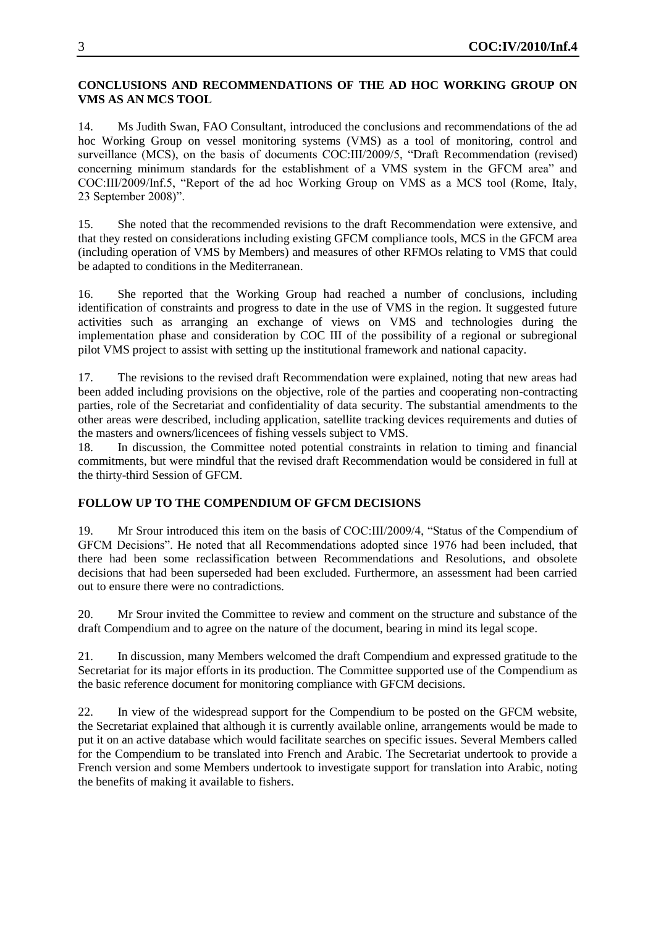#### **CONCLUSIONS AND RECOMMENDATIONS OF THE AD HOC WORKING GROUP ON VMS AS AN MCS TOOL**

14. Ms Judith Swan, FAO Consultant, introduced the conclusions and recommendations of the ad hoc Working Group on vessel monitoring systems (VMS) as a tool of monitoring, control and surveillance (MCS), on the basis of documents COC:III/2009/5, "Draft Recommendation (revised) concerning minimum standards for the establishment of a VMS system in the GFCM area" and COC:III/2009/Inf.5, "Report of the ad hoc Working Group on VMS as a MCS tool (Rome, Italy, 23 September 2008)".

15. She noted that the recommended revisions to the draft Recommendation were extensive, and that they rested on considerations including existing GFCM compliance tools, MCS in the GFCM area (including operation of VMS by Members) and measures of other RFMOs relating to VMS that could be adapted to conditions in the Mediterranean.

16. She reported that the Working Group had reached a number of conclusions, including identification of constraints and progress to date in the use of VMS in the region. It suggested future activities such as arranging an exchange of views on VMS and technologies during the implementation phase and consideration by COC III of the possibility of a regional or subregional pilot VMS project to assist with setting up the institutional framework and national capacity.

17. The revisions to the revised draft Recommendation were explained, noting that new areas had been added including provisions on the objective, role of the parties and cooperating non-contracting parties, role of the Secretariat and confidentiality of data security. The substantial amendments to the other areas were described, including application, satellite tracking devices requirements and duties of the masters and owners/licencees of fishing vessels subject to VMS.

18. In discussion, the Committee noted potential constraints in relation to timing and financial commitments, but were mindful that the revised draft Recommendation would be considered in full at the thirty-third Session of GFCM.

# **FOLLOW UP TO THE COMPENDIUM OF GFCM DECISIONS**

19. Mr Srour introduced this item on the basis of COC:III/2009/4, "Status of the Compendium of GFCM Decisions". He noted that all Recommendations adopted since 1976 had been included, that there had been some reclassification between Recommendations and Resolutions, and obsolete decisions that had been superseded had been excluded. Furthermore, an assessment had been carried out to ensure there were no contradictions.

20. Mr Srour invited the Committee to review and comment on the structure and substance of the draft Compendium and to agree on the nature of the document, bearing in mind its legal scope.

21. In discussion, many Members welcomed the draft Compendium and expressed gratitude to the Secretariat for its major efforts in its production. The Committee supported use of the Compendium as the basic reference document for monitoring compliance with GFCM decisions.

22. In view of the widespread support for the Compendium to be posted on the GFCM website, the Secretariat explained that although it is currently available online, arrangements would be made to put it on an active database which would facilitate searches on specific issues. Several Members called for the Compendium to be translated into French and Arabic. The Secretariat undertook to provide a French version and some Members undertook to investigate support for translation into Arabic, noting the benefits of making it available to fishers.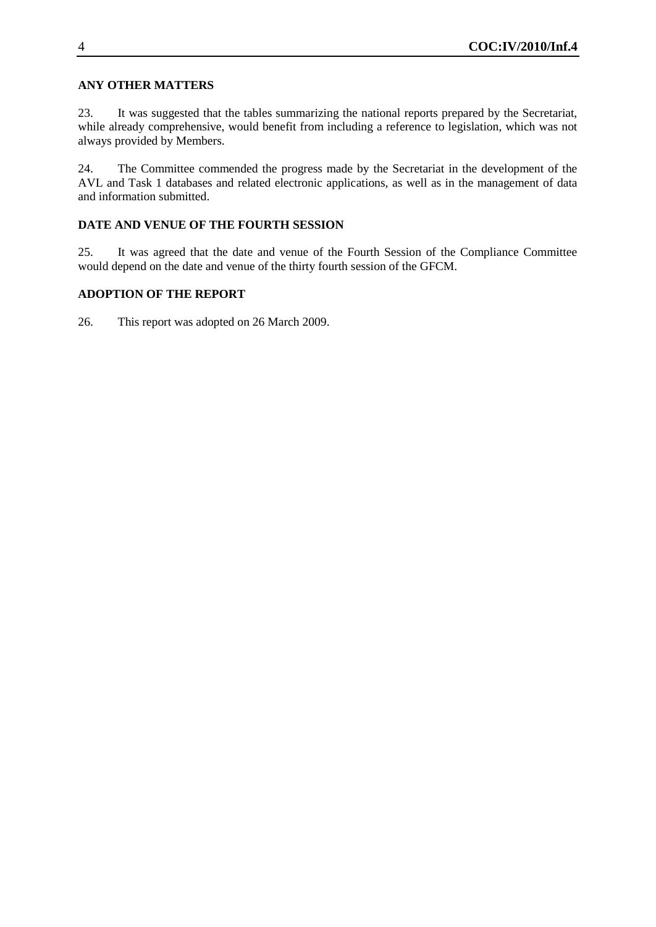### **ANY OTHER MATTERS**

23. It was suggested that the tables summarizing the national reports prepared by the Secretariat, while already comprehensive, would benefit from including a reference to legislation, which was not always provided by Members.

24. The Committee commended the progress made by the Secretariat in the development of the AVL and Task 1 databases and related electronic applications, as well as in the management of data and information submitted.

# **DATE AND VENUE OF THE FOURTH SESSION**

25. It was agreed that the date and venue of the Fourth Session of the Compliance Committee would depend on the date and venue of the thirty fourth session of the GFCM.

# **ADOPTION OF THE REPORT**

26. This report was adopted on 26 March 2009.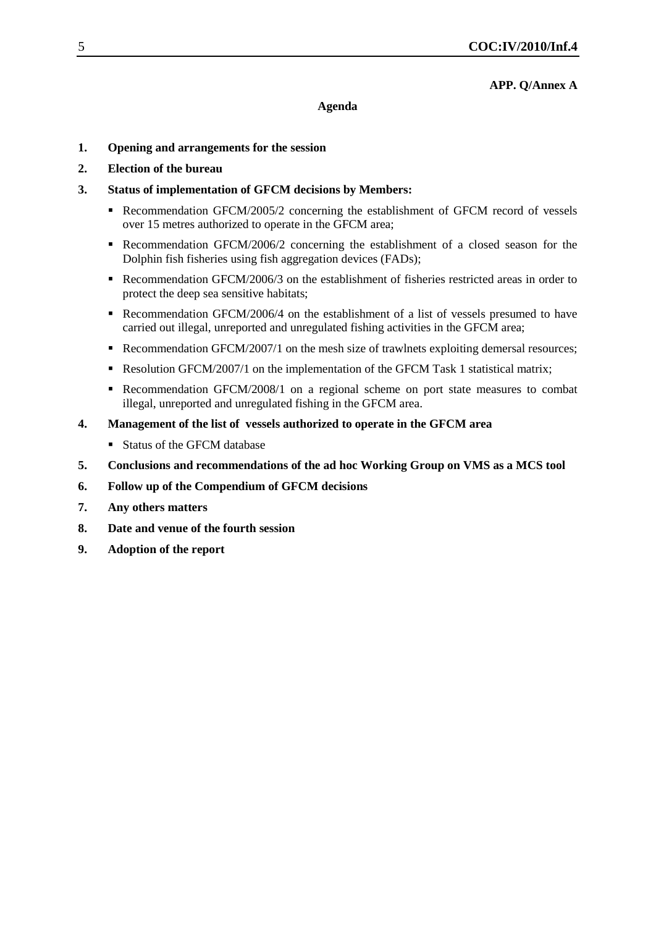#### **APP. Q/Annex A**

#### **Agenda**

- **1. Opening and arrangements for the session**
- **2. Election of the bureau**
- **3. Status of implementation of GFCM decisions by Members:**
	- Recommendation GFCM/2005/2 concerning the establishment of GFCM record of vessels over 15 metres authorized to operate in the GFCM area;
	- Recommendation GFCM/2006/2 concerning the establishment of a closed season for the Dolphin fish fisheries using fish aggregation devices (FADs);
	- Recommendation GFCM/2006/3 on the establishment of fisheries restricted areas in order to protect the deep sea sensitive habitats;
	- Recommendation GFCM/2006/4 on the establishment of a list of vessels presumed to have carried out illegal, unreported and unregulated fishing activities in the GFCM area;
	- Recommendation GFCM/2007/1 on the mesh size of trawlnets exploiting demersal resources;
	- Resolution GFCM/2007/1 on the implementation of the GFCM Task 1 statistical matrix;
	- Recommendation GFCM/2008/1 on a regional scheme on port state measures to combat illegal, unreported and unregulated fishing in the GFCM area.
- **4. Management of the list of vessels authorized to operate in the GFCM area**
	- Status of the GFCM database
- **5. Conclusions and recommendations of the ad hoc Working Group on VMS as a MCS tool**
- **6. Follow up of the Compendium of GFCM decisions**
- **7. Any others matters**
- **8. Date and venue of the fourth session**
- **9. Adoption of the report**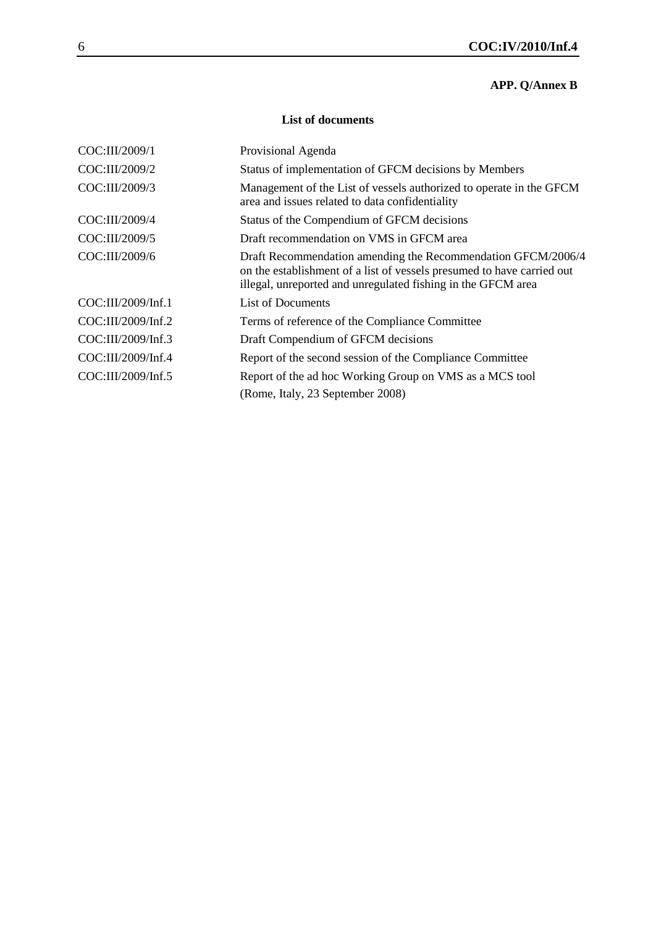# **APP. Q/Annex B**

# **List of documents**

| COC:III/2009/1     | Provisional Agenda                                                                                                                                                                                     |
|--------------------|--------------------------------------------------------------------------------------------------------------------------------------------------------------------------------------------------------|
| COC:III/2009/2     | Status of implementation of GFCM decisions by Members                                                                                                                                                  |
| COC:III/2009/3     | Management of the List of vessels authorized to operate in the GFCM<br>area and issues related to data confidentiality                                                                                 |
| COC:III/2009/4     | Status of the Compendium of GFCM decisions                                                                                                                                                             |
| COC:III/2009/5     | Draft recommendation on VMS in GFCM area                                                                                                                                                               |
| COC:III/2009/6     | Draft Recommendation amending the Recommendation GFCM/2006/4<br>on the establishment of a list of vessels presumed to have carried out<br>illegal, unreported and unregulated fishing in the GFCM area |
| COC:III/2009/Inf.1 | <b>List of Documents</b>                                                                                                                                                                               |
| COC:III/2009/Inf.2 | Terms of reference of the Compliance Committee                                                                                                                                                         |
| COC:III/2009/Inf.3 | Draft Compendium of GFCM decisions                                                                                                                                                                     |
| COC:III/2009/Inf.4 | Report of the second session of the Compliance Committee                                                                                                                                               |
| COC:III/2009/Inf.5 | Report of the ad hoc Working Group on VMS as a MCS tool                                                                                                                                                |
|                    | (Rome, Italy, 23 September 2008)                                                                                                                                                                       |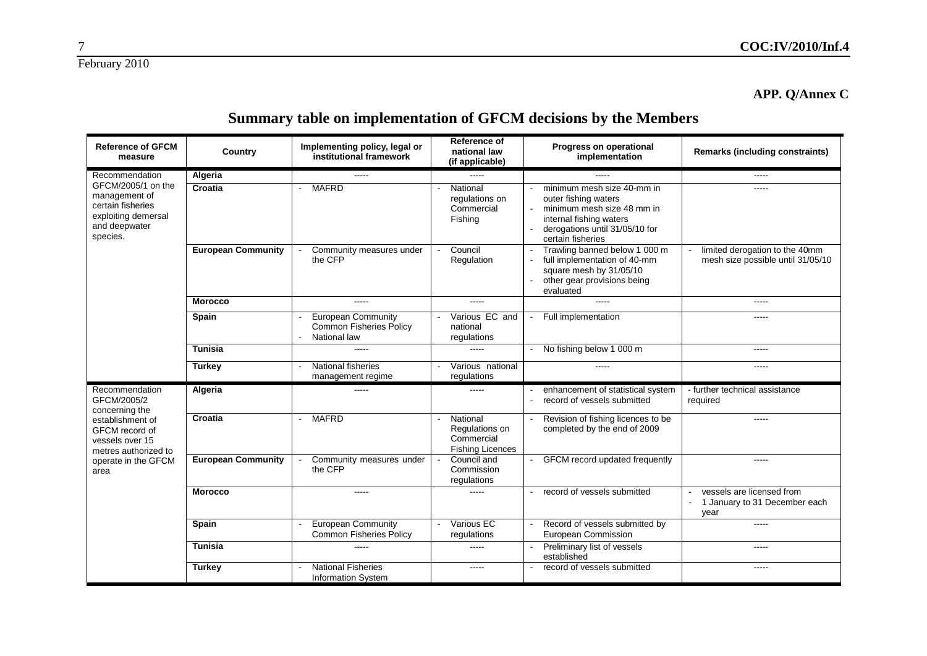7

# **APP. Q/Annex C**

# **Summary table on implementation of GFCM decisions by the Members**

| <b>Reference of GFCM</b><br>measure                                                                          | Country                   | Implementing policy, legal or<br>institutional framework                    | Reference of<br>national law<br>(if applicable)                     | Progress on operational<br>implementation                                                                                                                                    | <b>Remarks (including constraints)</b>                                                                                                                                                                                                                                                                                                                                                                                                                                     |
|--------------------------------------------------------------------------------------------------------------|---------------------------|-----------------------------------------------------------------------------|---------------------------------------------------------------------|------------------------------------------------------------------------------------------------------------------------------------------------------------------------------|----------------------------------------------------------------------------------------------------------------------------------------------------------------------------------------------------------------------------------------------------------------------------------------------------------------------------------------------------------------------------------------------------------------------------------------------------------------------------|
| Recommendation                                                                                               | Algeria                   | -----                                                                       | -----                                                               |                                                                                                                                                                              | -----                                                                                                                                                                                                                                                                                                                                                                                                                                                                      |
| GFCM/2005/1 on the<br>management of<br>certain fisheries<br>exploiting demersal<br>and deepwater<br>species. | Croatia                   | <b>MAFRD</b><br>$\sim$                                                      | National<br>regulations on<br>Commercial<br>Fishing                 | minimum mesh size 40-mm in<br>outer fishing waters<br>minimum mesh size 48 mm in<br>$\sim$<br>internal fishing waters<br>derogations until 31/05/10 for<br>certain fisheries | -----                                                                                                                                                                                                                                                                                                                                                                                                                                                                      |
|                                                                                                              | <b>European Community</b> | Community measures under<br>the CFP                                         | Council<br>$\blacksquare$<br>Regulation                             | Trawling banned below 1 000 m<br>$\sim$<br>full implementation of 40-mm<br>square mesh by 31/05/10<br>other gear provisions being<br>evaluated                               | limited derogation to the 40mm<br>mesh size possible until 31/05/10                                                                                                                                                                                                                                                                                                                                                                                                        |
|                                                                                                              | <b>Morocco</b>            | -----                                                                       | -----                                                               | $\frac{1}{2}$                                                                                                                                                                | $\frac{1}{2} \left( \frac{1}{2} \right) \left( \frac{1}{2} \right) \left( \frac{1}{2} \right) \left( \frac{1}{2} \right) \left( \frac{1}{2} \right) \left( \frac{1}{2} \right) \left( \frac{1}{2} \right) \left( \frac{1}{2} \right) \left( \frac{1}{2} \right) \left( \frac{1}{2} \right) \left( \frac{1}{2} \right) \left( \frac{1}{2} \right) \left( \frac{1}{2} \right) \left( \frac{1}{2} \right) \left( \frac{1}{2} \right) \left( \frac{1}{2} \right) \left( \frac$ |
|                                                                                                              | <b>Spain</b>              | <b>European Community</b><br><b>Common Fisheries Policy</b><br>National law | Various EC and<br>national<br>regulations                           | Full implementation<br>$\mathbf{r}$                                                                                                                                          | $---$                                                                                                                                                                                                                                                                                                                                                                                                                                                                      |
|                                                                                                              | <b>Tunisia</b>            | -----                                                                       |                                                                     | - No fishing below 1 000 m                                                                                                                                                   | $\frac{1}{2}$                                                                                                                                                                                                                                                                                                                                                                                                                                                              |
|                                                                                                              | <b>Turkey</b>             | National fisheries<br>management regime                                     | Various national<br>regulations                                     | -----                                                                                                                                                                        | $- - - - -$                                                                                                                                                                                                                                                                                                                                                                                                                                                                |
| Recommendation<br>GFCM/2005/2<br>concerning the                                                              | Algeria                   | -----                                                                       | $\frac{1}{2}$                                                       | enhancement of statistical system<br>record of vessels submitted                                                                                                             | - further technical assistance<br>required                                                                                                                                                                                                                                                                                                                                                                                                                                 |
| establishment of<br>GFCM record of<br>vessels over 15<br>metres authorized to<br>operate in the GFCM<br>area | Croatia                   | <b>MAFRD</b>                                                                | National<br>Regulations on<br>Commercial<br><b>Fishing Licences</b> | Revision of fishing licences to be<br>completed by the end of 2009                                                                                                           | $\frac{1}{2}$                                                                                                                                                                                                                                                                                                                                                                                                                                                              |
|                                                                                                              | <b>European Community</b> | Community measures under<br>the CFP                                         | Council and<br>Commission<br>regulations                            | <b>GFCM</b> record updated frequently                                                                                                                                        | -----                                                                                                                                                                                                                                                                                                                                                                                                                                                                      |
|                                                                                                              | <b>Morocco</b>            | -----                                                                       | -----                                                               | record of vessels submitted                                                                                                                                                  | vessels are licensed from<br>1 January to 31 December each<br>year                                                                                                                                                                                                                                                                                                                                                                                                         |
|                                                                                                              | <b>Spain</b>              | <b>European Community</b><br>Common Fisheries Policy                        | Various EC<br>regulations                                           | Record of vessels submitted by<br>$\sim$<br>European Commission                                                                                                              | $\frac{1}{2}$                                                                                                                                                                                                                                                                                                                                                                                                                                                              |
|                                                                                                              | Tunisia                   | -----                                                                       | -----                                                               | Preliminary list of vessels<br>established                                                                                                                                   | -----                                                                                                                                                                                                                                                                                                                                                                                                                                                                      |
|                                                                                                              | <b>Turkey</b>             | <b>National Fisheries</b><br><b>Information System</b>                      | -----                                                               | record of vessels submitted                                                                                                                                                  | $\frac{1}{2}$                                                                                                                                                                                                                                                                                                                                                                                                                                                              |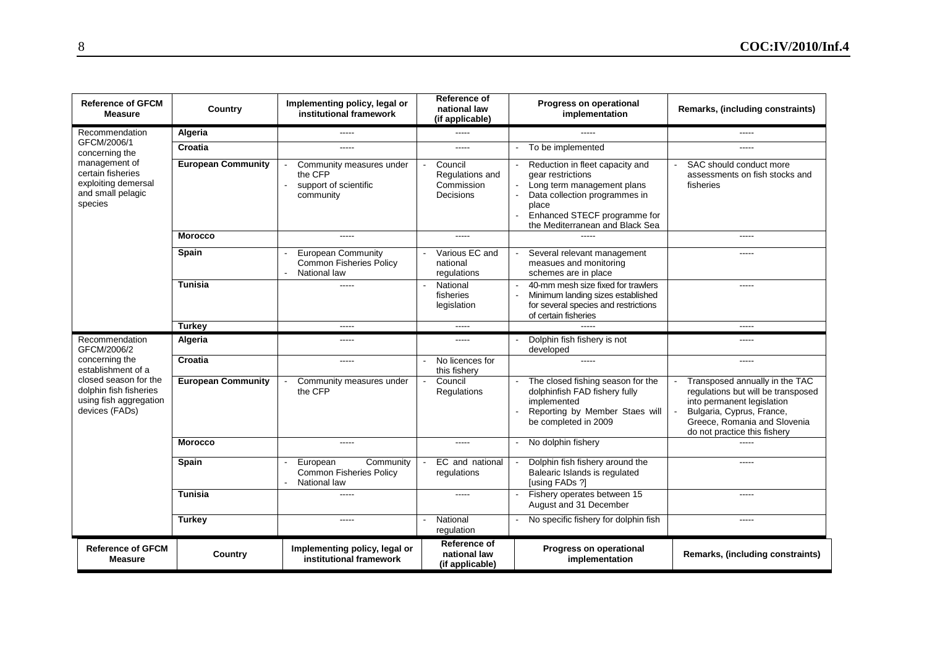| <b>Reference of GFCM</b><br><b>Measure</b>                                                  | Country                   | Implementing policy, legal or<br>institutional framework                                    | Reference of<br>national law<br>(if applicable)                                                                                                                                                                                                                                                                                                                                                                                                                            | Progress on operational<br>implementation                                                                                                                                                       | Remarks, (including constraints)                                                                                                                                                                                                                                                                                                                                                                                                                                           |
|---------------------------------------------------------------------------------------------|---------------------------|---------------------------------------------------------------------------------------------|----------------------------------------------------------------------------------------------------------------------------------------------------------------------------------------------------------------------------------------------------------------------------------------------------------------------------------------------------------------------------------------------------------------------------------------------------------------------------|-------------------------------------------------------------------------------------------------------------------------------------------------------------------------------------------------|----------------------------------------------------------------------------------------------------------------------------------------------------------------------------------------------------------------------------------------------------------------------------------------------------------------------------------------------------------------------------------------------------------------------------------------------------------------------------|
| Recommendation                                                                              | Algeria                   | -----                                                                                       | -----                                                                                                                                                                                                                                                                                                                                                                                                                                                                      | -----                                                                                                                                                                                           | -----                                                                                                                                                                                                                                                                                                                                                                                                                                                                      |
| GFCM/2006/1<br>concerning the                                                               | Croatia                   | -----                                                                                       | $---$                                                                                                                                                                                                                                                                                                                                                                                                                                                                      | To be implemented<br>$\blacksquare$                                                                                                                                                             | -----                                                                                                                                                                                                                                                                                                                                                                                                                                                                      |
| management of<br>certain fisheries<br>exploiting demersal<br>and small pelagic<br>species   | <b>European Community</b> | Community measures under<br>the CFP<br>support of scientific<br>$\blacksquare$<br>community | Council<br>Regulations and<br>Commission<br>Decisions                                                                                                                                                                                                                                                                                                                                                                                                                      | Reduction in fleet capacity and<br>gear restrictions<br>Long term management plans<br>Data collection programmes in<br>place<br>Enhanced STECF programme for<br>the Mediterranean and Black Sea | SAC should conduct more<br>assessments on fish stocks and<br>fisheries                                                                                                                                                                                                                                                                                                                                                                                                     |
|                                                                                             | <b>Morocco</b>            | -----                                                                                       | $\cdots$                                                                                                                                                                                                                                                                                                                                                                                                                                                                   |                                                                                                                                                                                                 | -----                                                                                                                                                                                                                                                                                                                                                                                                                                                                      |
|                                                                                             | Spain                     | <b>European Community</b><br><b>Common Fisheries Policy</b><br>National law                 | Various EC and<br>national<br>regulations                                                                                                                                                                                                                                                                                                                                                                                                                                  | Several relevant management<br>measues and monitoring<br>schemes are in place                                                                                                                   | -----                                                                                                                                                                                                                                                                                                                                                                                                                                                                      |
|                                                                                             | <b>Tunisia</b>            | -----                                                                                       | National<br>fisheries<br>legislation                                                                                                                                                                                                                                                                                                                                                                                                                                       | 40-mm mesh size fixed for trawlers<br>Minimum landing sizes established<br>for several species and restrictions<br>of certain fisheries                                                         | -----                                                                                                                                                                                                                                                                                                                                                                                                                                                                      |
|                                                                                             | <b>Turkey</b>             | -----                                                                                       | $\frac{1}{2} \left( \frac{1}{2} \right) \left( \frac{1}{2} \right) \left( \frac{1}{2} \right) \left( \frac{1}{2} \right) \left( \frac{1}{2} \right) \left( \frac{1}{2} \right) \left( \frac{1}{2} \right) \left( \frac{1}{2} \right) \left( \frac{1}{2} \right) \left( \frac{1}{2} \right) \left( \frac{1}{2} \right) \left( \frac{1}{2} \right) \left( \frac{1}{2} \right) \left( \frac{1}{2} \right) \left( \frac{1}{2} \right) \left( \frac{1}{2} \right) \left( \frac$ | -----                                                                                                                                                                                           | $\frac{1}{2} \left( \frac{1}{2} \right) \left( \frac{1}{2} \right) \left( \frac{1}{2} \right) \left( \frac{1}{2} \right) \left( \frac{1}{2} \right) \left( \frac{1}{2} \right) \left( \frac{1}{2} \right) \left( \frac{1}{2} \right) \left( \frac{1}{2} \right) \left( \frac{1}{2} \right) \left( \frac{1}{2} \right) \left( \frac{1}{2} \right) \left( \frac{1}{2} \right) \left( \frac{1}{2} \right) \left( \frac{1}{2} \right) \left( \frac{1}{2} \right) \left( \frac$ |
| Recommendation<br>GFCM/2006/2                                                               | Algeria                   | -----                                                                                       | -----                                                                                                                                                                                                                                                                                                                                                                                                                                                                      | Dolphin fish fishery is not<br>developed                                                                                                                                                        | -----                                                                                                                                                                                                                                                                                                                                                                                                                                                                      |
| concerning the<br>establishment of a                                                        | Croatia                   | -----                                                                                       | No licences for<br>this fishery                                                                                                                                                                                                                                                                                                                                                                                                                                            | -----                                                                                                                                                                                           | -----                                                                                                                                                                                                                                                                                                                                                                                                                                                                      |
| closed season for the<br>dolphin fish fisheries<br>using fish aggregation<br>devices (FADs) | <b>European Community</b> | Community measures under<br>the CFP                                                         | Council<br>Regulations                                                                                                                                                                                                                                                                                                                                                                                                                                                     | The closed fishing season for the<br>dolphinfish FAD fishery fully<br>implemented<br>Reporting by Member Staes will<br>be completed in 2009                                                     | Transposed annually in the TAC<br>regulations but will be transposed<br>into permanent legislation<br>Bulgaria, Cyprus, France,<br>Greece, Romania and Slovenia<br>do not practice this fishery                                                                                                                                                                                                                                                                            |
|                                                                                             | <b>Morocco</b>            | -----                                                                                       | $---$                                                                                                                                                                                                                                                                                                                                                                                                                                                                      | No dolphin fishery                                                                                                                                                                              |                                                                                                                                                                                                                                                                                                                                                                                                                                                                            |
|                                                                                             | Spain                     | Community<br>European<br>Common Fisheries Policy<br>National law                            | EC and national<br>regulations                                                                                                                                                                                                                                                                                                                                                                                                                                             | Dolphin fish fishery around the<br>Balearic Islands is regulated<br>[using FADs ?]                                                                                                              | -----                                                                                                                                                                                                                                                                                                                                                                                                                                                                      |
|                                                                                             | <b>Tunisia</b>            | -----                                                                                       | -----                                                                                                                                                                                                                                                                                                                                                                                                                                                                      | Fishery operates between 15<br>August and 31 December                                                                                                                                           | -----                                                                                                                                                                                                                                                                                                                                                                                                                                                                      |
|                                                                                             | <b>Turkey</b>             | -----                                                                                       | National<br>regulation                                                                                                                                                                                                                                                                                                                                                                                                                                                     | No specific fishery for dolphin fish                                                                                                                                                            | -----                                                                                                                                                                                                                                                                                                                                                                                                                                                                      |
|                                                                                             |                           |                                                                                             |                                                                                                                                                                                                                                                                                                                                                                                                                                                                            |                                                                                                                                                                                                 |                                                                                                                                                                                                                                                                                                                                                                                                                                                                            |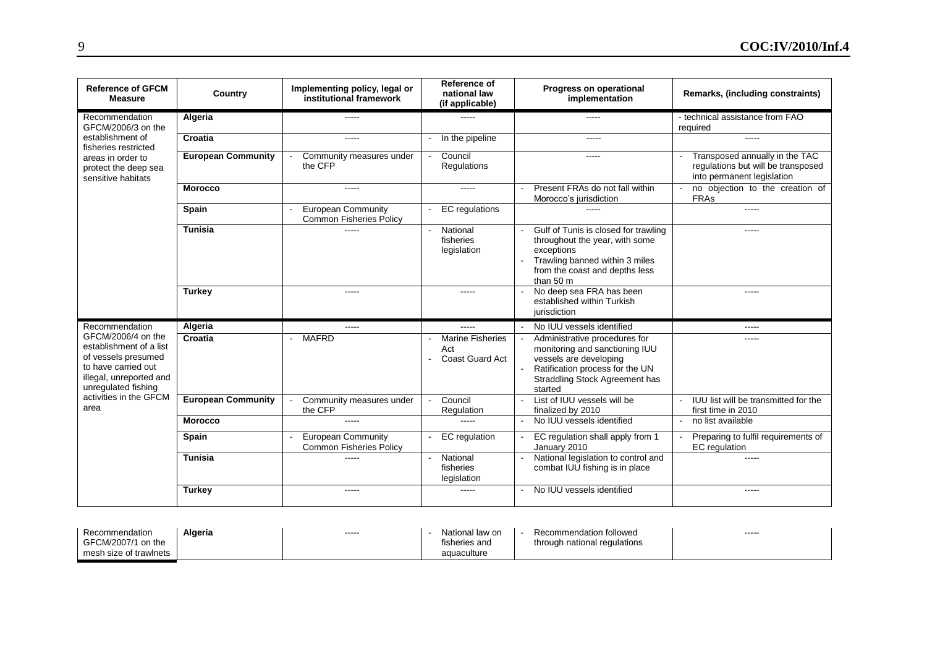| <b>Reference of GFCM</b><br><b>Measure</b>                                                                                                                                      | Country                   | Implementing policy, legal or<br>institutional framework    | Reference of<br>national law<br>(if applicable)   | Progress on operational<br>implementation                                                                                                                                        | Remarks, (including constraints)                                                                   |
|---------------------------------------------------------------------------------------------------------------------------------------------------------------------------------|---------------------------|-------------------------------------------------------------|---------------------------------------------------|----------------------------------------------------------------------------------------------------------------------------------------------------------------------------------|----------------------------------------------------------------------------------------------------|
| Recommendation<br>GFCM/2006/3 on the                                                                                                                                            | Algeria                   | -----                                                       |                                                   | -----                                                                                                                                                                            | - technical assistance from FAO<br>required                                                        |
| establishment of<br>fisheries restricted                                                                                                                                        | Croatia                   | -----                                                       | In the pipeline                                   | $- - - - -$                                                                                                                                                                      | -----                                                                                              |
| areas in order to<br>protect the deep sea<br>sensitive habitats                                                                                                                 | <b>European Community</b> | Community measures under<br>the CFP                         | Council<br>Regulations                            | -----                                                                                                                                                                            | Transposed annually in the TAC<br>regulations but will be transposed<br>into permanent legislation |
|                                                                                                                                                                                 | <b>Morocco</b>            | $---$                                                       | $\frac{1}{2}$                                     | Present FRAs do not fall within<br>Morocco's jurisdiction                                                                                                                        | no objection to the creation of<br><b>FRAs</b>                                                     |
|                                                                                                                                                                                 | <b>Spain</b>              | <b>European Community</b><br><b>Common Fisheries Policy</b> | <b>EC</b> regulations                             |                                                                                                                                                                                  | -----                                                                                              |
|                                                                                                                                                                                 | <b>Tunisia</b>            |                                                             | National<br>fisheries<br>legislation              | Gulf of Tunis is closed for trawling<br>throughout the year, with some<br>exceptions<br>Trawling banned within 3 miles<br>from the coast and depths less<br>than 50 m            |                                                                                                    |
|                                                                                                                                                                                 | <b>Turkey</b>             | -----                                                       | $\frac{1}{2}$                                     | No deep sea FRA has been<br>established within Turkish<br>jurisdiction                                                                                                           | -----                                                                                              |
| Recommendation                                                                                                                                                                  | Algeria                   | $- - - - -$                                                 | $---$                                             | No IUU vessels identified                                                                                                                                                        | -----                                                                                              |
| GFCM/2006/4 on the<br>establishment of a list<br>of vessels presumed<br>to have carried out<br>illegal, unreported and<br>unregulated fishing<br>activities in the GFCM<br>area | Croatia                   | <b>MAFRD</b><br>$\sim$                                      | <b>Marine Fisheries</b><br>Act<br>Coast Guard Act | Administrative procedures for<br>monitoring and sanctioning IUU<br>vessels are developing<br>Ratification process for the UN<br><b>Straddling Stock Agreement has</b><br>started | -----                                                                                              |
|                                                                                                                                                                                 | <b>European Community</b> | Community measures under<br>the CFP                         | Council<br>Regulation                             | List of IUU vessels will be<br>finalized by 2010                                                                                                                                 | IUU list will be transmitted for the<br>first time in 2010                                         |
|                                                                                                                                                                                 | <b>Morocco</b>            | -----                                                       | $\frac{1}{2}$                                     | No IUU vessels identified                                                                                                                                                        | no list available                                                                                  |
|                                                                                                                                                                                 | Spain                     | <b>European Community</b><br>Common Fisheries Policy        | EC regulation                                     | EC regulation shall apply from 1<br>January 2010                                                                                                                                 | Preparing to fulfil requirements of<br>EC regulation                                               |
|                                                                                                                                                                                 | <b>Tunisia</b>            | -----                                                       | National<br>fisheries<br>legislation              | National legislation to control and<br>combat IUU fishing is in place                                                                                                            | -----                                                                                              |
|                                                                                                                                                                                 | <b>Turkey</b>             | -----                                                       | $\frac{1}{2}$                                     | No IUU vessels identified                                                                                                                                                        | -----                                                                                              |

| Algeria<br>Recommendation | ------ | National<br>law on | Recommendation followed         | ----- |
|---------------------------|--------|--------------------|---------------------------------|-------|
| GFCM/2007/1<br>on the     |        | fisheries and      | national regulations<br>throuar |       |
| mesh size of trawlnets    |        | aquaculture        |                                 |       |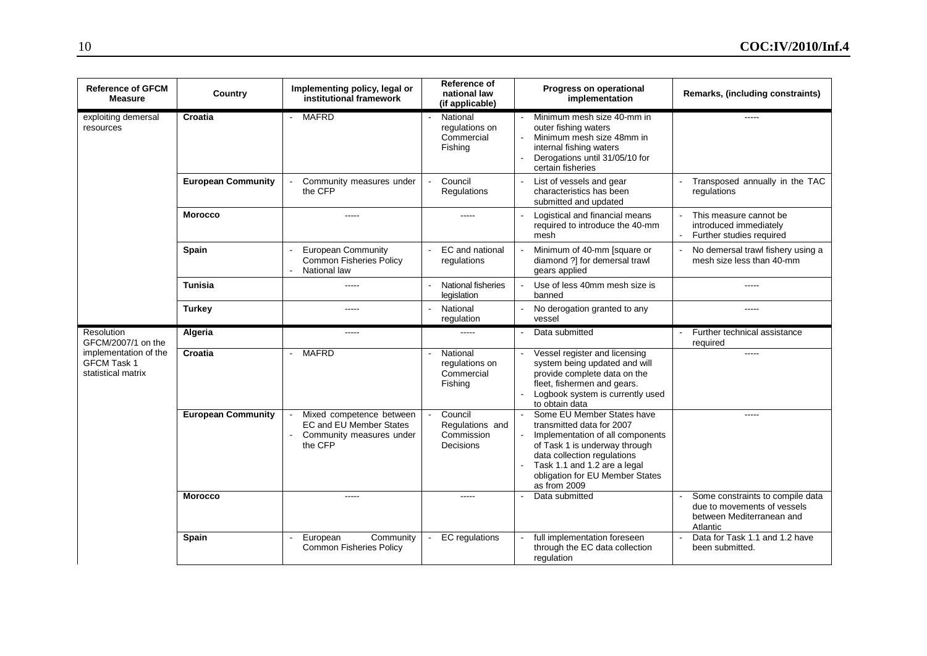| <b>Reference of GFCM</b><br><b>Measure</b>                        | Country                   | Implementing policy, legal or<br>institutional framework                                   | Reference of<br>national law<br>(if applicable)       | Progress on operational<br>implementation                                                                                                                                                                                                      | Remarks, (including constraints)                                                                         |
|-------------------------------------------------------------------|---------------------------|--------------------------------------------------------------------------------------------|-------------------------------------------------------|------------------------------------------------------------------------------------------------------------------------------------------------------------------------------------------------------------------------------------------------|----------------------------------------------------------------------------------------------------------|
| exploiting demersal<br>resources                                  | Croatia                   | <b>MAFRD</b>                                                                               | National<br>regulations on<br>Commercial<br>Fishing   | Minimum mesh size 40-mm in<br>outer fishing waters<br>Minimum mesh size 48mm in<br>internal fishing waters<br>Derogations until 31/05/10 for<br>certain fisheries                                                                              |                                                                                                          |
|                                                                   | <b>European Community</b> | Community measures under<br>the CFP                                                        | Council<br>Regulations                                | List of vessels and gear<br>characteristics has been<br>submitted and updated                                                                                                                                                                  | Transposed annually in the TAC<br>regulations                                                            |
|                                                                   | <b>Morocco</b>            | $---$                                                                                      | -----                                                 | Logistical and financial means<br>required to introduce the 40-mm<br>mesh                                                                                                                                                                      | This measure cannot be<br>introduced immediately<br>Further studies required                             |
|                                                                   | Spain                     | <b>European Community</b><br>Common Fisheries Policy<br>National law                       | EC and national<br>regulations                        | Minimum of 40-mm [square or<br>diamond ?] for demersal trawl<br>gears applied                                                                                                                                                                  | No demersal trawl fishery using a<br>mesh size less than 40-mm                                           |
|                                                                   | <b>Tunisia</b>            | $\frac{1}{2}$                                                                              | National fisheries<br>legislation                     | Use of less 40mm mesh size is<br>banned                                                                                                                                                                                                        | -----                                                                                                    |
|                                                                   | <b>Turkey</b>             |                                                                                            | National<br>regulation                                | No derogation granted to any<br>vessel                                                                                                                                                                                                         |                                                                                                          |
| Resolution<br>GFCM/2007/1 on the                                  | Algeria                   | $\frac{1}{2}$                                                                              | $\overline{a}$                                        | Data submitted                                                                                                                                                                                                                                 | Further technical assistance<br>required                                                                 |
| implementation of the<br><b>GFCM Task 1</b><br>statistical matrix | Croatia                   | <b>MAFRD</b><br>$\blacksquare$                                                             | National<br>regulations on<br>Commercial<br>Fishing   | Vessel register and licensing<br>system being updated and will<br>provide complete data on the<br>fleet, fishermen and gears.<br>Logbook system is currently used<br>to obtain data                                                            | $\sim$ $\sim$ $\sim$                                                                                     |
|                                                                   | <b>European Community</b> | Mixed competence between<br>EC and EU Member States<br>Community measures under<br>the CFP | Council<br>Regulations and<br>Commission<br>Decisions | Some EU Member States have<br>transmitted data for 2007<br>Implementation of all components<br>of Task 1 is underway through<br>data collection regulations<br>Task 1.1 and 1.2 are a legal<br>obligation for EU Member States<br>as from 2009 |                                                                                                          |
|                                                                   | <b>Morocco</b>            | $\frac{1}{2}$                                                                              | $\frac{1}{2}$                                         | Data submitted                                                                                                                                                                                                                                 | Some constraints to compile data<br>due to movements of vessels<br>between Mediterranean and<br>Atlantic |
|                                                                   | Spain                     | European<br>Community<br><b>Common Fisheries Policy</b>                                    | <b>EC</b> regulations                                 | full implementation foreseen<br>through the EC data collection<br>regulation                                                                                                                                                                   | Data for Task 1.1 and 1.2 have<br>been submitted.                                                        |